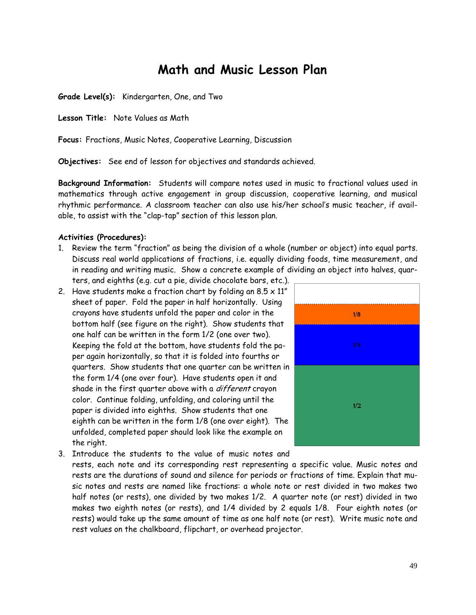# **Math and Music Lesson Plan**

**Grade Level(s):** Kindergarten, One, and Two

**Lesson Title:** Note Values as Math

**Focus:** Fractions, Music Notes, Cooperative Learning, Discussion

**Objectives:** See end of lesson for objectives and standards achieved.

**Background Information:** Students will compare notes used in music to fractional values used in mathematics through active engagement in group discussion, cooperative learning, and musical rhythmic performance. A classroom teacher can also use his/her school's music teacher, if available, to assist with the "clap-tap" section of this lesson plan.

#### **Activities (Procedures):**

- 1. Review the term "fraction" as being the division of a whole (number or object) into equal parts. Discuss real world applications of fractions, i.e. equally dividing foods, time measurement, and in reading and writing music. Show a concrete example of dividing an object into halves, quarters, and eighths (e.g. cut a pie, divide chocolate bars, etc.).
- 2. Have students make a fraction chart by folding an  $8.5 \times 11^{n}$ sheet of paper. Fold the paper in half horizontally. Using crayons have students unfold the paper and color in the bottom half (see figure on the right). Show students that one half can be written in the form 1/2 (one over two). Keeping the fold at the bottom, have students fold the paper again horizontally, so that it is folded into fourths or quarters. Show students that one quarter can be written in the form 1/4 (one over four). Have students open it and shade in the first quarter above with a *different* crayon color. Continue folding, unfolding, and coloring until the paper is divided into eighths. Show students that one eighth can be written in the form 1/8 (one over eight). The unfolded, completed paper should look like the example on the right.



3. Introduce the students to the value of music notes and rests, each note and its corresponding rest representing a specific value. Music notes and rests are the durations of sound and silence for periods or fractions of time. Explain that music notes and rests are named like fractions: a whole note or rest divided in two makes two half notes (or rests), one divided by two makes 1/2. A quarter note (or rest) divided in two makes two eighth notes (or rests), and 1/4 divided by 2 equals 1/8. Four eighth notes (or rests) would take up the same amount of time as one half note (or rest). Write music note and rest values on the chalkboard, flipchart, or overhead projector.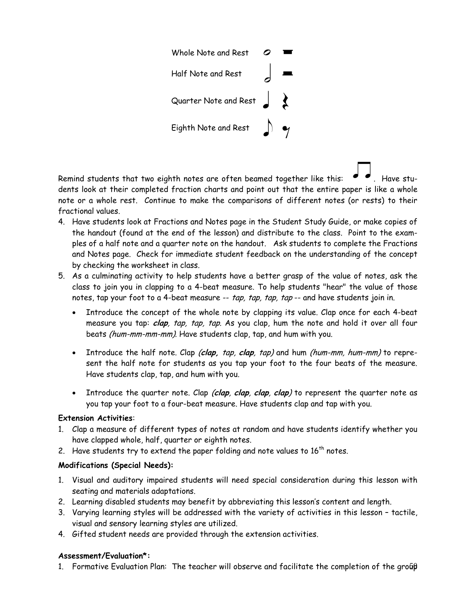

Remind students that two eighth notes are often beamed together like this:  $\bullet \bullet$ . Have students look at their completed fraction charts and point out that the entire paper is like a whole note or a whole rest. Continue to make the comparisons of different notes (or rests) to their fractional values.

- 4. Have students look at Fractions and Notes page in the Student Study Guide, or make copies of the handout (found at the end of the lesson) and distribute to the class. Point to the examples of a half note and a quarter note on the handout. Ask students to complete the Fractions and Notes page. Check for immediate student feedback on the understanding of the concept by checking the worksheet in class.
- 5. As a culminating activity to help students have a better grasp of the value of notes, ask the class to join you in clapping to a 4-beat measure. To help students "hear" the value of those notes, tap your foot to a 4-beat measure -- tap, tap, tap, tap -- and have students join in.
	- Introduce the concept of the whole note by clapping its value. Clap once for each 4-beat measure you tap: **clap**, tap, tap, tap. As you clap, hum the note and hold it over all four beats (hum-mm-mm-mm). Have students clap, tap, and hum with you.
	- Introduce the half note. Clap (**clap,** tap, **clap**, tap) and hum (hum-mm, hum-mm) to represent the half note for students as you tap your foot to the four beats of the measure. Have students clap, tap, and hum with you.
	- Introduce the quarter note. Clap (**clap**, **clap**, **clap**, **clap**) to represent the quarter note as you tap your foot to a four-beat measure. Have students clap and tap with you.

## **Extension Activities**:

- 1. Clap a measure of different types of notes at random and have students identify whether you have clapped whole, half, quarter or eighth notes.
- 2. Have students try to extend the paper folding and note values to  $16^{th}$  notes.

## **Modifications (Special Needs):**

- 1. Visual and auditory impaired students will need special consideration during this lesson with seating and materials adaptations.
- 2. Learning disabled students may benefit by abbreviating this lesson's content and length.
- 3. Varying learning styles will be addressed with the variety of activities in this lesson tactile, visual and sensory learning styles are utilized.
- 4. Gifted student needs are provided through the extension activities.

# **Assessment/Evaluation\*:**

1. Formative Evaluation Plan: The teacher will observe and facilitate the completion of the group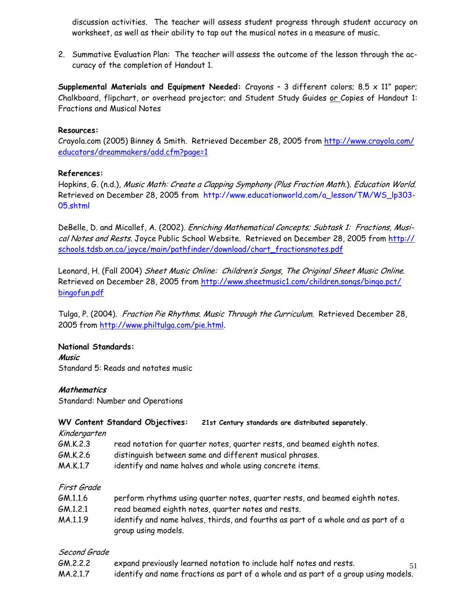discussion activities. The teacher will assess student progress through student accuracy on worksheet, as well as their ability to tap out the musical notes in a measure of music.

2. Summative Evaluation Plan: The teacher will assess the outcome of the lesson through the accuracy of the completion of Handout 1.

**Supplemental Materials and Equipment Needed:** Crayons – 3 different colors; 8.5 x 11" paper; Chalkboard, flipchart, or overhead projector; and Student Study Guides or Copies of Handout 1: Fractions and Musical Notes

#### **Resources:**

Crayola.com (2005) Binney & Smith. Retrieved December 28, 2005 from http://www.crayola.com/ educators/dreammakers/add.cfm?page=1

## **References:**

Hopkins, G. (n.d.), Music Math: Create a Clapping Symphony (Plus Fraction Math.). Education World. Retrieved on December 28, 2005 from http://www.educationworld.com/a\_lesson/TM/WS\_lp303- 05.shtml

DeBelle, D. and Micallef, A. (2002). *Enriching Mathematical Concepts; Subtask 1: Fractions, Musi*cal Notes and Rests. Joyce Public School Website. Retrieved on December 28, 2005 from http:// schools.tdsb.on.ca/joyce/main/pathfinder/download/chart\_fractionsnotes.pdf

Leonard, H. (Fall 2004) Sheet Music Online: Children's Songs, The Original Sheet Music Online. Retrieved on December 28, 2005 from http://www.sheetmusic1.com/children.songs/bingo.pct/ bingofun.pdf

Tulga, P. (2004). Fraction Pie Rhythms. Music Through the Curriculum. Retrieved December 28, 2005 from http://www.philtulga.com/pie.html.

## **National Standards:**

**Music**  Standard 5: Reads and notates music

## **Mathematics**

Standard: Number and Operations

#### **WV Content Standard Objectives: 21st Century standards are distributed separately.**

Kindergarten

- GM.K.2.3 read notation for quarter notes, quarter rests, and beamed eighth notes.
- GM.K.2.6 distinguish between same and different musical phrases.
- MA.K.1.7 identify and name halves and whole using concrete items.

## First Grade

| GM.1.1.6 | perform rhythms using quarter notes, quarter rests, and beamed eighth notes. |
|----------|------------------------------------------------------------------------------|
| GM.1.2.1 | read beamed eighth notes, quarter notes and rests.                           |

MA.1.1.9 identify and name halves, thirds, and fourths as part of a whole and as part of a group using models.

## Second Grade

51 GM.2.2.2 expand previously learned notation to include half notes and rests. MA.2.1.7 identify and name fractions as part of a whole and as part of a group using models.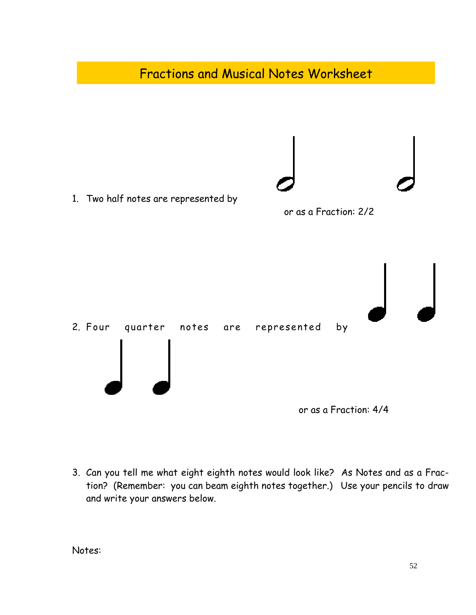

3. Can you tell me what eight eighth notes would look like? As Notes and as a Fraction? (Remember: you can beam eighth notes together.) Use your pencils to draw and write your answers below.

Notes: